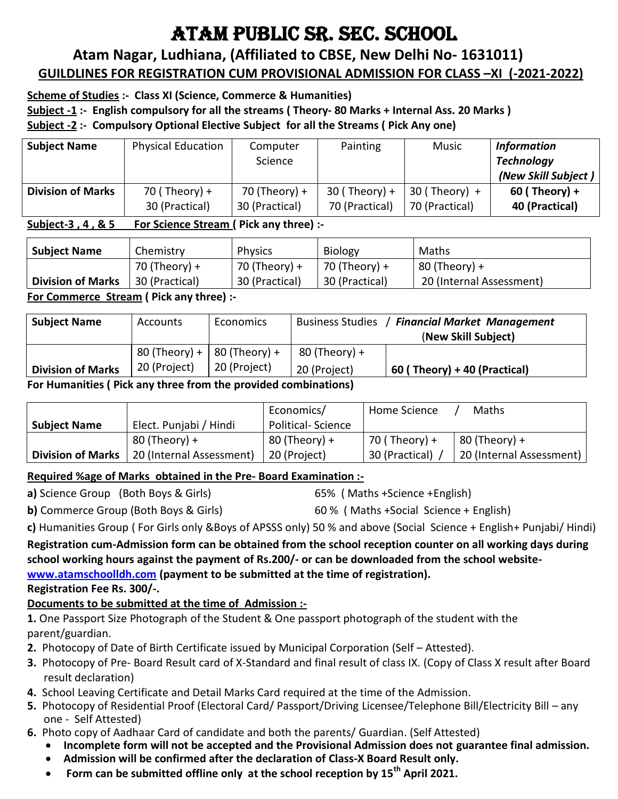# ATAM PUBLIC SR. SEC. SCHOOL

### **Atam Nagar, Ludhiana, (Affiliated to CBSE, New Delhi No- 1631011) GUILDLINES FOR REGISTRATION CUM PROVISIONAL ADMISSION FOR CLASS –XI (-2021-2022)**

### **Scheme of Studies :- Class XI (Science, Commerce & Humanities)**

**Subject -1 :- English compulsory for all the streams ( Theory- 80 Marks + Internal Ass. 20 Marks )**

**Subject -2 :- Compulsory Optional Elective Subject for all the Streams ( Pick Any one)**

| <b>Subject Name</b>      | <b>Physical Education</b> | Computer<br>Science | Painting        | <b>Music</b>    | <b>Information</b><br><b>Technology</b><br>(New Skill Subject) |
|--------------------------|---------------------------|---------------------|-----------------|-----------------|----------------------------------------------------------------|
| <b>Division of Marks</b> | 70 (Theory) +             | 70 (Theory) +       | $30$ (Theory) + | $30$ (Theory) + | $60$ (Theory) +                                                |
|                          | 30 (Practical)            | 30 (Practical)      | 70 (Practical)  | 70 (Practical)  | 40 (Practical)                                                 |

### **Subject-3 , 4 , & 5 For Science Stream ( Pick any three) :-**

| <b>Subject Name</b>      | Chemistry      | <b>Physics</b> | <b>Biology</b> | Maths                    |
|--------------------------|----------------|----------------|----------------|--------------------------|
|                          | 70 (Theory) +  | 70 (Theory) +  | 70 (Theory) +  | $80$ (Theory) +          |
| <b>Division of Marks</b> | 30 (Practical) | 30 (Practical) | 30 (Practical) | 20 (Internal Assessment) |

**For Commerce Stream ( Pick any three) :-**

| <b>Subject Name</b>       | Accounts                      | Economics    | <b>Business Studies</b> | <b>Financial Market Management</b><br>(New Skill Subject) |
|---------------------------|-------------------------------|--------------|-------------------------|-----------------------------------------------------------|
|                           | 80 (Theory) +   80 (Theory) + |              | $80$ (Theory) +         |                                                           |
| <b>Division of Marks</b>  | 20 (Project)                  | 20 (Project) | 20 (Project)            | $60$ (Theory) + 40 (Practical)                            |
| $\cdot\cdot$ $\cdot$<br>- |                               | .            |                         |                                                           |

**For Humanities ( Pick any three from the provided combinations)**

|                          |                          | Economics/               | Home Science   | Maths                    |
|--------------------------|--------------------------|--------------------------|----------------|--------------------------|
| <b>Subject Name</b>      | Elect. Punjabi / Hindi   | <b>Political-Science</b> |                |                          |
|                          | $80$ (Theory) +          | $80$ (Theory) +          | 70 ( Theory) + | 80 (Theory) +            |
| <b>Division of Marks</b> | 20 (Internal Assessment) | 20 (Project)             | 30 (Practical) | 20 (Internal Assessment) |

### **Required %age of Marks obtained in the Pre- Board Examination :-**

**a)** Science Group (Both Boys & Girls) 65%( Maths +Science +English)

**b)** Commerce Group (Both Boys & Girls) 60 % ( Maths +Social Science + English)

**c)** Humanities Group ( For Girls only &Boys of APSSS only) 50 % and above (Social Science + English+ Punjabi/ Hindi)

**Registration cum-Admission form can be obtained from the school reception counter on all working days during school working hours against the payment of Rs.200/- or can be downloaded from the school website[www.atamschoolldh.com](http://www.atamschoolldh.com/) (payment to be submitted at the time of registration).**

**Registration Fee Rs. 300/-.**

### **Documents to be submitted at the time of Admission :-**

**1.** One Passport Size Photograph of the Student & One passport photograph of the student with the parent/guardian.

- **2.** Photocopy of Date of Birth Certificate issued by Municipal Corporation (Self Attested).
- **3.** Photocopy of Pre- Board Result card of X-Standard and final result of class IX. (Copy of Class X result after Board result declaration)
- **4.** School Leaving Certificate and Detail Marks Card required at the time of the Admission.
- **5.** Photocopy of Residential Proof (Electoral Card/ Passport/Driving Licensee/Telephone Bill/Electricity Bill any one - Self Attested)
- **6.** Photo copy of Aadhaar Card of candidate and both the parents/ Guardian. (Self Attested)
	- **Incomplete form will not be accepted and the Provisional Admission does not guarantee final admission.**
	- **Admission will be confirmed after the declaration of Class-X Board Result only.**
	- **Form can be submitted offline only at the school reception by 15th April 2021.**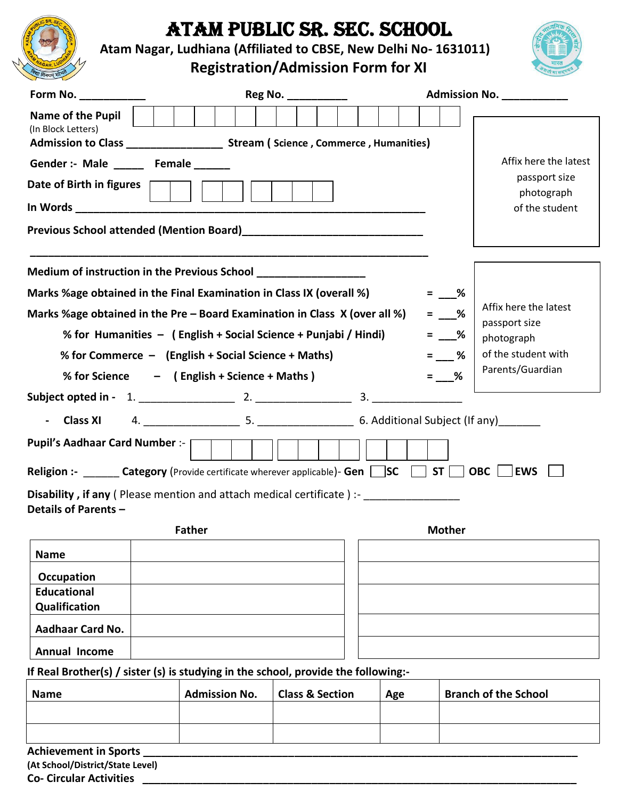

# ATAM PUBLIC SR. SEC. SCHOOL

**Atam Nagar, Ludhiana (Affiliated to CBSE, New Delhi No- 1631011)** 

## **Registration/Admission Form for XI**



| Form No. $\sqrt{2\pi}$                                                                                                               |                      | Reg No. ___________        |  |     |  |                     |                   | Admission No.                          |
|--------------------------------------------------------------------------------------------------------------------------------------|----------------------|----------------------------|--|-----|--|---------------------|-------------------|----------------------------------------|
| <b>Name of the Pupil</b><br>(In Block Letters)<br>Admission to Class _______________________ Stream ( Science, Commerce, Humanities) |                      |                            |  |     |  |                     |                   |                                        |
| Gender :- Male ______ Female ______                                                                                                  |                      |                            |  |     |  |                     |                   | Affix here the latest                  |
| Date of Birth in figures                                                                                                             |                      |                            |  |     |  |                     |                   | passport size                          |
|                                                                                                                                      |                      |                            |  |     |  |                     |                   | photograph<br>of the student           |
|                                                                                                                                      |                      |                            |  |     |  |                     |                   |                                        |
|                                                                                                                                      |                      |                            |  |     |  |                     |                   |                                        |
| Marks %age obtained in the Final Examination in Class IX (overall %)                                                                 |                      |                            |  |     |  |                     | $=$ %             |                                        |
| Marks %age obtained in the Pre – Board Examination in Class $X$ (over all %)                                                         |                      |                            |  |     |  |                     | $=$ $\frac{9}{6}$ | Affix here the latest<br>passport size |
| % for Humanities - (English + Social Science + Punjabi / Hindi)                                                                      |                      |                            |  |     |  |                     | $=$ %             | photograph                             |
| % for Commerce $-$ (English + Social Science + Maths)<br>$=$ %                                                                       |                      |                            |  |     |  | of the student with |                   |                                        |
| % for Science - (English + Science + Maths)                                                                                          |                      |                            |  |     |  |                     | $=$ %             | Parents/Guardian                       |
|                                                                                                                                      |                      |                            |  |     |  |                     |                   |                                        |
|                                                                                                                                      |                      |                            |  |     |  |                     |                   |                                        |
| Pupil's Aadhaar Card Number :-                                                                                                       |                      |                            |  |     |  |                     |                   |                                        |
| <b>Religion :-</b> ________ Category (Provide certificate wherever applicable)- Gen   SC   ST  <br><b>OBC</b><br><b>EWS</b>          |                      |                            |  |     |  |                     |                   |                                        |
| <b>Disability, if any</b> (Please mention and attach medical certificate) :-<br>Details of Parents -                                 |                      |                            |  |     |  |                     |                   |                                        |
| <b>Mother</b><br><b>Father</b>                                                                                                       |                      |                            |  |     |  |                     |                   |                                        |
| <b>Name</b>                                                                                                                          |                      |                            |  |     |  |                     |                   |                                        |
| Occupation                                                                                                                           |                      |                            |  |     |  |                     |                   |                                        |
| <b>Educational</b>                                                                                                                   |                      |                            |  |     |  |                     |                   |                                        |
| Qualification                                                                                                                        |                      |                            |  |     |  |                     |                   |                                        |
| <b>Aadhaar Card No.</b>                                                                                                              |                      |                            |  |     |  |                     |                   |                                        |
| <b>Annual Income</b>                                                                                                                 |                      |                            |  |     |  |                     |                   |                                        |
| If Real Brother(s) / sister (s) is studying in the school, provide the following:-                                                   |                      |                            |  |     |  |                     |                   |                                        |
| <b>Name</b>                                                                                                                          | <b>Admission No.</b> | <b>Class &amp; Section</b> |  | Age |  |                     |                   | <b>Branch of the School</b>            |

| (At School/District/State Level) |  |
|----------------------------------|--|

**Co- Circular Activities \_\_\_\_\_\_\_\_\_\_\_\_\_\_\_\_\_\_\_\_\_\_\_\_\_\_\_\_\_\_\_\_\_\_\_\_\_\_\_\_\_\_\_\_\_\_\_\_\_\_\_\_\_\_\_\_\_\_\_\_\_\_\_\_\_\_\_\_\_\_\_\_**